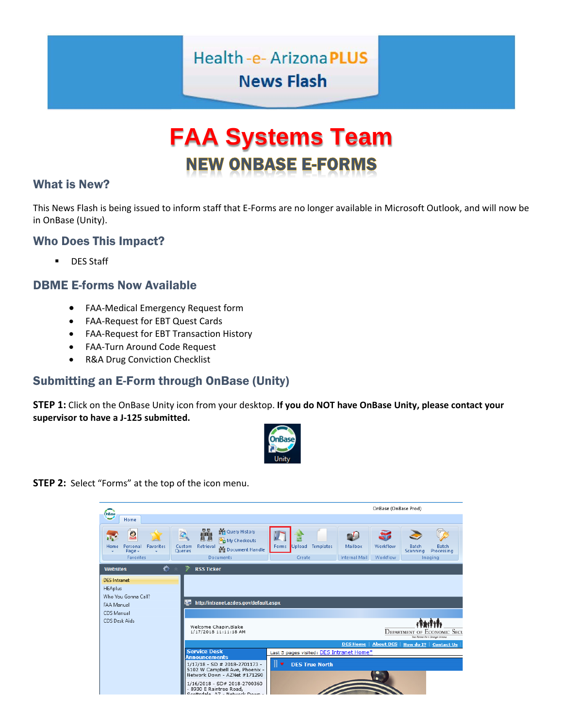# Health-e-ArizonaPLUS **News Flash**

# **FAA Systems Team NEW ONBASE E-FORMS**

#### What is New?

This News Flash is being issued to inform staff that E-Forms are no longer available in Microsoft Outlook, and will now be in OnBase (Unity).

#### Who Does This Impact?

**DES Staff** 

#### DBME E-forms Now Available

- FAA-Medical Emergency Request form
- FAA-Request for EBT Quest Cards
- FAA-Request for EBT Transaction History
- FAA-Turn Around Code Request
- R&A Drug Conviction Checklist

### Submitting an E-Form through OnBase (Unity)

**STEP 1:** Click on the OnBase Unity icon from your desktop. **If you do NOT have OnBase Unity, please contact your supervisor to have a J-125 submitted.**



**STEP 2:** Select "Forms" at the top of the icon menu.

|                                                                                                                  |                                                                                                                                                              |                                          |                                                         | OnBase (OnBase Prod)                                                      |
|------------------------------------------------------------------------------------------------------------------|--------------------------------------------------------------------------------------------------------------------------------------------------------------|------------------------------------------|---------------------------------------------------------|---------------------------------------------------------------------------|
| OnBase<br>Home                                                                                                   |                                                                                                                                                              |                                          |                                                         |                                                                           |
| 2<br><b>Favorites</b><br>Home<br>Personal<br>Page $\sim$<br><b>Favorites</b>                                     | 晶體<br>Query History<br>O<br>■ ■<br>My Checkouts<br>Retrieval<br>Custom<br>Document Handle<br>Queries<br><b>Documents</b>                                     | Templates<br>Upload<br>Forms<br>Create   | Mailbox<br>Workflow<br><b>Internal Mail</b><br>Workflow | Batch<br><b>Batch</b><br>Processing<br>Scanning<br>Imaging                |
| 档<br><b>Websites</b>                                                                                             | <b>RSS Ticker</b><br>₹                                                                                                                                       |                                          |                                                         |                                                                           |
| <b>DES</b> Intranet<br><b>HEAplus</b><br>Who You Gonna Call?<br>FAA Manual<br><b>CDS Manual</b><br>CDS Desk Aids | <b>IGE</b><br>http://intranet.azdes.gov/default.aspx<br>Welcome Chapin, Blake<br>1/17/2018 11:11:18 AM                                                       |                                          |                                                         | <b>DEPARTMENT OF ECONOMIC SECU</b><br>Your Partner For A Stronger Artsung |
|                                                                                                                  |                                                                                                                                                              |                                          | <b>DES Home</b><br><b>About DES</b>                     | How do $I$ ?   Contact Us                                                 |
|                                                                                                                  | <b>Service Desk</b><br><b>Announcements</b>                                                                                                                  | Last 5 pages visited: DES Intranet Home* |                                                         |                                                                           |
|                                                                                                                  | $1/17/18$ - SD # 2018-2701173 -<br>5102 W Campbell Ave, Phoenix -<br>Network Down - AZNet #171290<br>1/16/2018 - SD# 2018-2700360<br>- 8930 E Raintree Road. | ⊪▼<br><b>DES True North</b>              |                                                         |                                                                           |
|                                                                                                                  | Scottedale AZ - Network Down                                                                                                                                 |                                          |                                                         |                                                                           |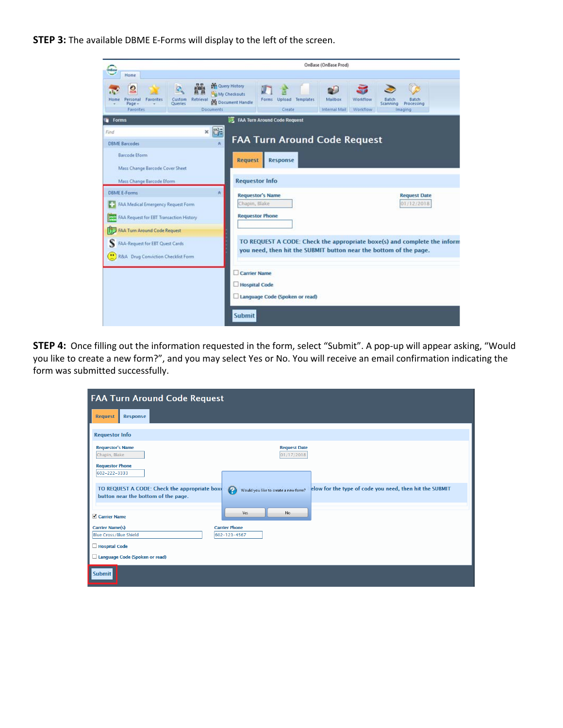**STEP 3:** The available DBME E-Forms will display to the left of the screen.

| Drettas                                                                                                             | OnBase (OnBase Prod)                                                                          |                                                                                                                                               |                                                     |
|---------------------------------------------------------------------------------------------------------------------|-----------------------------------------------------------------------------------------------|-----------------------------------------------------------------------------------------------------------------------------------------------|-----------------------------------------------------|
| Home                                                                                                                |                                                                                               |                                                                                                                                               |                                                     |
| Home<br>Personal<br>Favorites<br>Custom<br>Retrieval<br><b>Queries</b><br>Page<br><b>Documents</b><br>Favorites     | <b>College History</b><br>My Checkouts<br>Forms Upload Templates<br>Document Handle<br>Create | Mailbox<br>Workflow<br>Internal Mail<br>Workflow                                                                                              | Batch<br>Batch<br>Processing<br>Scanning<br>Imaging |
| Forms                                                                                                               | FAA Turn Around Code Request                                                                  |                                                                                                                                               |                                                     |
| <b>DE</b><br>$\mathbf{x}$<br>Find<br><b>DBME Barcodes</b><br>奏                                                      |                                                                                               | <b>FAA Turn Around Code Request</b>                                                                                                           |                                                     |
| Barcode Eform<br>Mass Change Barcode Cover Sheet                                                                    | <b>Request</b><br><b>Response</b>                                                             |                                                                                                                                               |                                                     |
| Mass Change Barcode Eform                                                                                           | <b>Requestor Info</b>                                                                         |                                                                                                                                               |                                                     |
| <b>DBME E-Forms</b><br>朱<br>FAA Medical Emergency Request Form<br><b>AM FAA Request for EBT Transaction History</b> | <b>Requestor's Name</b><br>Chapin, Blake<br><b>Requestor Phone</b>                            |                                                                                                                                               | <b>Request Date</b><br>01/12/2018                   |
| <b>FAA Turn Around Code Request</b><br>FAA-Request for EBT Quest Cards<br>R&A Drug Conviction Checklist Form        |                                                                                               | TO REQUEST A CODE: Check the appropriate boxe(s) and complete the inform<br>you need, then hit the SUBMIT button near the bottom of the page. |                                                     |
|                                                                                                                     | Carrier Name<br>Hospital Code<br>Language Code (Spoken or read)                               |                                                                                                                                               |                                                     |
|                                                                                                                     | Submit                                                                                        |                                                                                                                                               |                                                     |

**STEP 4:** Once filling out the information requested in the form, select "Submit". A pop-up will appear asking, "Would you like to create a new form?", and you may select Yes or No. You will receive an email confirmation indicating the form was submitted successfully.

| <b>FAA Turn Around Code Request</b>                                                  |                                                          |                                                         |  |  |
|--------------------------------------------------------------------------------------|----------------------------------------------------------|---------------------------------------------------------|--|--|
| <b>Response</b><br><b>Request</b>                                                    |                                                          |                                                         |  |  |
| <b>Requestor Info</b>                                                                |                                                          |                                                         |  |  |
| <b>Requestor's Name</b><br>Chapin, Blake                                             | <b>Request Date</b><br>01/17/2018                        |                                                         |  |  |
| <b>Requestor Phone</b><br>602-222-3333                                               |                                                          |                                                         |  |  |
| TO REQUEST A CODE: Check the appropriate boxe<br>button near the bottom of the page. | $\boldsymbol{Q}$<br>Would you like to create a new form? | elow for the type of code you need, then hit the SUBMIT |  |  |
| <b>√</b> Carrier Name                                                                | Yes<br>No.                                               |                                                         |  |  |
| <b>Carrier Name(s)</b><br><b>Blue Cross/Blue Shield</b>                              | <b>Carrier Phone</b><br>602-123-4567                     |                                                         |  |  |
| Hospital Code<br>Language Code (Spoken or read)                                      |                                                          |                                                         |  |  |
| Submit                                                                               |                                                          |                                                         |  |  |